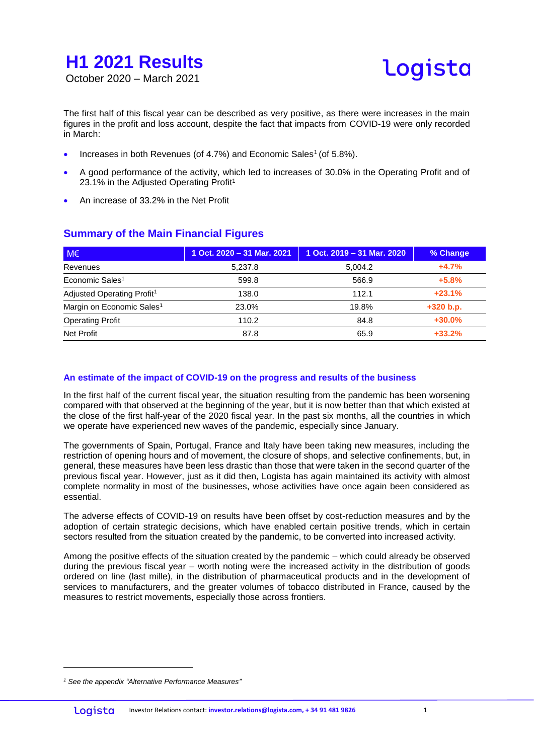

The first half of this fiscal year can be described as very positive, as there were increases in the main figures in the profit and loss account, despite the fact that impacts from COVID-19 were only recorded in March:

- Increases in both Revenues (of 4.7%) and Economic Sales<sup>1</sup> (of 5.8%).
- A good performance of the activity, which led to increases of 30.0% in the Operating Profit and of 23.1% in the Adjusted Operating Profit<sup>1</sup>
- An increase of 33.2% in the Net Profit

| $M \in$                                | 1 Oct. 2020 - 31 Mar. 2021 | 1 Oct. 2019 - 31 Mar. 2020 | % Change    |
|----------------------------------------|----------------------------|----------------------------|-------------|
| Revenues                               | 5.237.8                    | 5.004.2                    | $+4.7%$     |
| Economic Sales <sup>1</sup>            | 599.8                      | 566.9                      | $+5.8%$     |
| Adjusted Operating Profit <sup>1</sup> | 138.0                      | 112.1                      | $+23.1%$    |
| Margin on Economic Sales <sup>1</sup>  | 23.0%                      | 19.8%                      | $+320 b.p.$ |
| <b>Operating Profit</b>                | 110.2                      | 84.8                       | $+30.0%$    |
| <b>Net Profit</b>                      | 87.8                       | 65.9                       | $+33.2%$    |

#### **Summary of the Main Financial Figures**

#### **An estimate of the impact of COVID-19 on the progress and results of the business**

In the first half of the current fiscal year, the situation resulting from the pandemic has been worsening compared with that observed at the beginning of the year, but it is now better than that which existed at the close of the first half-year of the 2020 fiscal year. In the past six months, all the countries in which we operate have experienced new waves of the pandemic, especially since January.

The governments of Spain, Portugal, France and Italy have been taking new measures, including the restriction of opening hours and of movement, the closure of shops, and selective confinements, but, in general, these measures have been less drastic than those that were taken in the second quarter of the previous fiscal year. However, just as it did then, Logista has again maintained its activity with almost complete normality in most of the businesses, whose activities have once again been considered as essential.

The adverse effects of COVID-19 on results have been offset by cost-reduction measures and by the adoption of certain strategic decisions, which have enabled certain positive trends, which in certain sectors resulted from the situation created by the pandemic, to be converted into increased activity.

Among the positive effects of the situation created by the pandemic – which could already be observed during the previous fiscal year – worth noting were the increased activity in the distribution of goods ordered on line (last mille), in the distribution of pharmaceutical products and in the development of services to manufacturers, and the greater volumes of tobacco distributed in France, caused by the measures to restrict movements, especially those across frontiers.

*<sup>1</sup> See the appendix "Alternative Performance Measures"*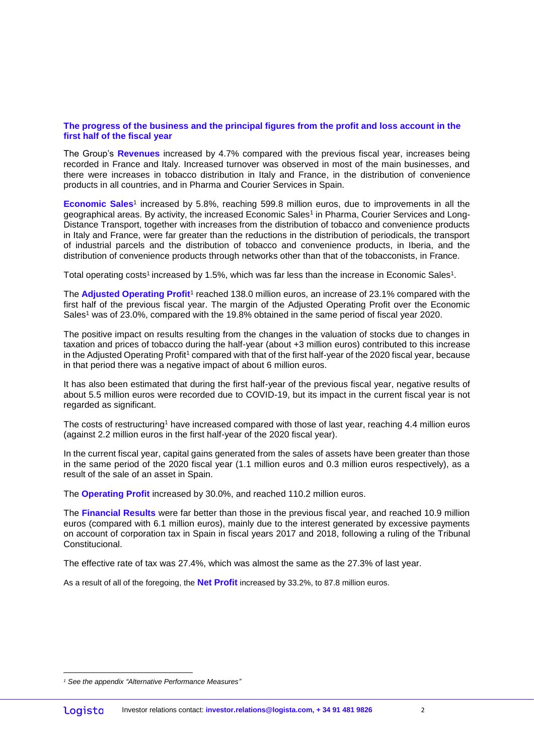#### **The progress of the business and the principal figures from the profit and loss account in the first half of the fiscal year**

The Group's **Revenues** increased by 4.7% compared with the previous fiscal year, increases being recorded in France and Italy. Increased turnover was observed in most of the main businesses, and there were increases in tobacco distribution in Italy and France, in the distribution of convenience products in all countries, and in Pharma and Courier Services in Spain.

**Economic Sales**<sup>1</sup> increased by 5.8%, reaching 599.8 million euros, due to improvements in all the geographical areas. By activity, the increased Economic Sales<sup>1</sup> in Pharma, Courier Services and Long-Distance Transport, together with increases from the distribution of tobacco and convenience products in Italy and France, were far greater than the reductions in the distribution of periodicals, the transport of industrial parcels and the distribution of tobacco and convenience products, in Iberia, and the distribution of convenience products through networks other than that of the tobacconists, in France.

Total operating costs<sup>1</sup> increased by 1.5%, which was far less than the increase in Economic Sales<sup>1</sup>.

The Adjusted Operating Profit<sup>1</sup> reached 138.0 million euros, an increase of 23.1% compared with the first half of the previous fiscal year. The margin of the Adjusted Operating Profit over the Economic Sales<sup>1</sup> was of 23.0%, compared with the 19.8% obtained in the same period of fiscal year 2020.

The positive impact on results resulting from the changes in the valuation of stocks due to changes in taxation and prices of tobacco during the half-year (about +3 million euros) contributed to this increase in the Adjusted Operating Profit<sup>1</sup> compared with that of the first half-year of the 2020 fiscal year, because in that period there was a negative impact of about 6 million euros.

It has also been estimated that during the first half-year of the previous fiscal year, negative results of about 5.5 million euros were recorded due to COVID-19, but its impact in the current fiscal year is not regarded as significant.

The costs of restructuring<sup>1</sup> have increased compared with those of last year, reaching 4.4 million euros (against 2.2 million euros in the first half-year of the 2020 fiscal year).

In the current fiscal year, capital gains generated from the sales of assets have been greater than those in the same period of the 2020 fiscal year (1.1 million euros and 0.3 million euros respectively), as a result of the sale of an asset in Spain.

The **Operating Profit** increased by 30.0%, and reached 110.2 million euros.

The **Financial Results** were far better than those in the previous fiscal year, and reached 10.9 million euros (compared with 6.1 million euros), mainly due to the interest generated by excessive payments on account of corporation tax in Spain in fiscal years 2017 and 2018, following a ruling of the Tribunal Constitucional.

The effective rate of tax was 27.4%, which was almost the same as the 27.3% of last year.

As a result of all of the foregoing, the **Net Profit** increased by 33.2%, to 87.8 million euros.

*<sup>1</sup> See the appendix "Alternative Performance Measures"*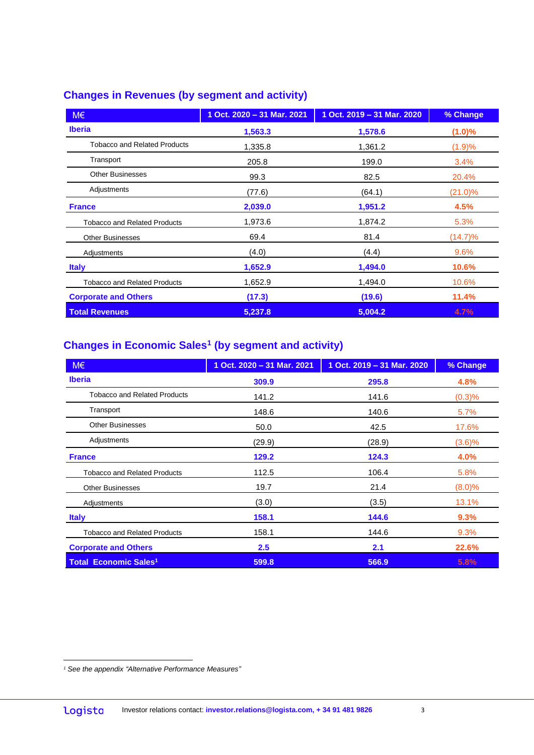#### **Changes in Revenues (by segment and activity)**

| $M \in$                             | 1 Oct. 2020 - 31 Mar. 2021 | 1 Oct. 2019 - 31 Mar. 2020 | % Change   |
|-------------------------------------|----------------------------|----------------------------|------------|
| <b>Iberia</b>                       | 1,563.3                    | 1,578.6                    | $(1.0)\%$  |
| <b>Tobacco and Related Products</b> | 1,335.8                    | 1,361.2                    | (1.9)%     |
| Transport                           | 205.8                      | 199.0                      | 3.4%       |
| <b>Other Businesses</b>             | 99.3                       | 82.5                       | 20.4%      |
| Adjustments                         | (77.6)                     | (64.1)                     | $(21.0)\%$ |
| <b>France</b>                       | 2,039.0                    | 1,951.2                    | 4.5%       |
| <b>Tobacco and Related Products</b> | 1,973.6                    | 1,874.2                    | 5.3%       |
| <b>Other Businesses</b>             | 69.4                       | 81.4                       | $(14.7)\%$ |
| Adjustments                         | (4.0)                      | (4.4)                      | 9.6%       |
| <b>Italy</b>                        | 1,652.9                    | 1,494.0                    | 10.6%      |
| <b>Tobacco and Related Products</b> | 1,652.9                    | 1,494.0                    | 10.6%      |
| <b>Corporate and Others</b>         | (17.3)                     | (19.6)                     | 11.4%      |
| <b>Total Revenues</b>               | 5,237.8                    | 5,004.2                    | 4.7%       |

#### **Changes in Economic Sales<sup>1</sup> (by segment and activity)**

| M€                                      | 1 Oct. 2020 - 31 Mar. 2021 | 1 Oct. 2019 - 31 Mar. 2020 | % Change  |
|-----------------------------------------|----------------------------|----------------------------|-----------|
| <b>Iberia</b>                           | 309.9                      | 295.8                      | 4.8%      |
| <b>Tobacco and Related Products</b>     | 141.2                      | 141.6                      | (0.3)%    |
| Transport                               | 148.6                      | 140.6                      | 5.7%      |
| <b>Other Businesses</b>                 | 50.0                       | 42.5                       | 17.6%     |
| Adjustments                             | (29.9)                     | (28.9)                     | (3.6)%    |
| <b>France</b>                           | 129.2                      | 124.3                      | 4.0%      |
| <b>Tobacco and Related Products</b>     | 112.5                      | 106.4                      | 5.8%      |
| <b>Other Businesses</b>                 | 19.7                       | 21.4                       | $(8.0)\%$ |
| Adjustments                             | (3.0)                      | (3.5)                      | 13.1%     |
| <b>Italy</b>                            | 158.1                      | 144.6                      | 9.3%      |
| <b>Tobacco and Related Products</b>     | 158.1                      | 144.6                      | 9.3%      |
| <b>Corporate and Others</b>             | 2.5                        | 2.1                        | 22.6%     |
| <b>Total Economic Sales<sup>1</sup></b> | 599.8                      | 566.9                      | 5.8%      |

*<sup>1</sup> See the appendix "Alternative Performance Measures"*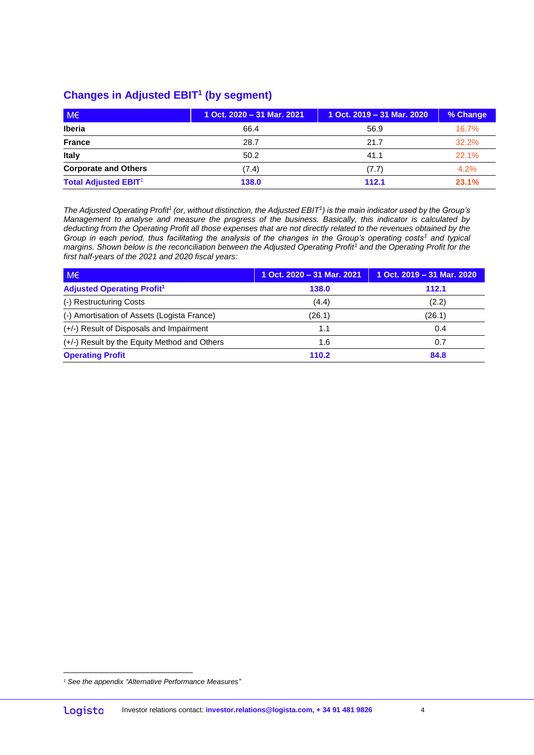#### **Changes in Adjusted EBIT<sup>1</sup> (by segment)**

| $M \in$                     | 1 Oct. 2020 - 31 Mar. 2021 | 1 Oct. 2019 - 31 Mar. 2020 | % Change |
|-----------------------------|----------------------------|----------------------------|----------|
| <b>Iberia</b>               | 66.4                       | 56.9                       | $16.7\%$ |
| <b>France</b>               | 28.7                       | 21.7                       | 32.2%    |
| <b>Italy</b>                | 50.2                       | 41.1                       | 22.1%    |
| <b>Corporate and Others</b> | (7.4)                      | (7.7)                      | 4.2%     |
| <b>Total Adjusted EBIT1</b> | 138.0                      | 112.1                      | 23.1%    |

*The Adjusted Operating Profit<sup>1</sup> (or, without distinction, the Adjusted EBIT<sup>1</sup> ) is the main indicator used by the Group's Management to analyse and measure the progress of the business. Basically, this indicator is calculated by deducting from the Operating Profit all those expenses that are not directly related to the revenues obtained by the Group in each period, thus facilitating the analysis of the changes in the Group's operating costs<sup>1</sup> and typical margins. Shown below is the reconciliation between the Adjusted Operating Profit<sup>1</sup> and the Operating Profit for the first half-years of the 2021 and 2020 fiscal years:*

| $M \in$                                      | 1 Oct. 2020 - 31 Mar. 2021 | 1 Oct. $2019 - 31$ Mar. $2020$ |
|----------------------------------------------|----------------------------|--------------------------------|
| <b>Adjusted Operating Profit<sup>1</sup></b> | 138.0                      | 112.1                          |
| (-) Restructuring Costs                      | (4.4)                      | (2.2)                          |
| (-) Amortisation of Assets (Logista France)  | (26.1)                     | (26.1)                         |
| (+/-) Result of Disposals and Impairment     | 1.1                        | 0.4                            |
| (+/-) Result by the Equity Method and Others | 1.6                        | 0.7                            |
| <b>Operating Profit</b>                      | 110.2                      | 84.8                           |

 $\overline{a}$ *<sup>1</sup> See the appendix "Alternative Performance Measures"*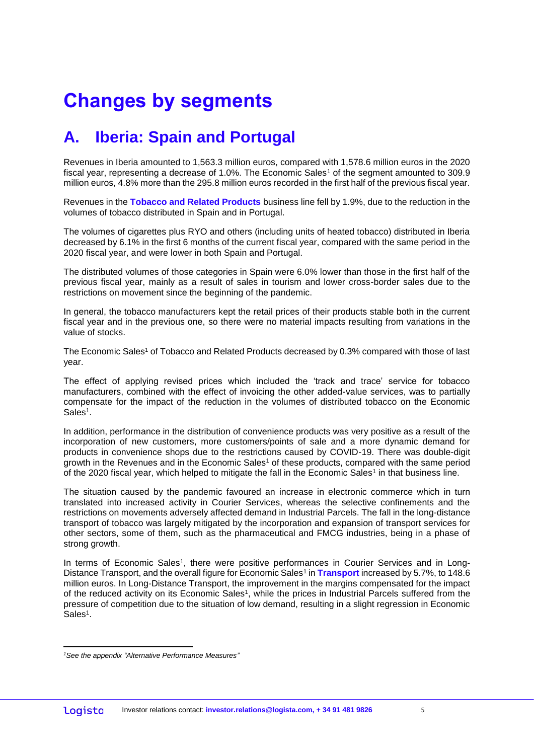# **Changes by segments**

## **A. Iberia: Spain and Portugal**

Revenues in Iberia amounted to 1,563.3 million euros, compared with 1,578.6 million euros in the 2020 fiscal year, representing a decrease of 1.0%. The Economic Sales<sup>1</sup> of the segment amounted to 309.9 million euros, 4.8% more than the 295.8 million euros recorded in the first half of the previous fiscal year.

Revenues in the **Tobacco and Related Products** business line fell by 1.9%, due to the reduction in the volumes of tobacco distributed in Spain and in Portugal.

The volumes of cigarettes plus RYO and others (including units of heated tobacco) distributed in Iberia decreased by 6.1% in the first 6 months of the current fiscal year, compared with the same period in the 2020 fiscal year, and were lower in both Spain and Portugal.

The distributed volumes of those categories in Spain were 6.0% lower than those in the first half of the previous fiscal year, mainly as a result of sales in tourism and lower cross-border sales due to the restrictions on movement since the beginning of the pandemic.

In general, the tobacco manufacturers kept the retail prices of their products stable both in the current fiscal year and in the previous one, so there were no material impacts resulting from variations in the value of stocks.

The Economic Sales<sup>1</sup> of Tobacco and Related Products decreased by 0.3% compared with those of last year.

The effect of applying revised prices which included the 'track and trace' service for tobacco manufacturers, combined with the effect of invoicing the other added-value services, was to partially compensate for the impact of the reduction in the volumes of distributed tobacco on the Economic  $Sales<sup>1</sup>$ .

In addition, performance in the distribution of convenience products was very positive as a result of the incorporation of new customers, more customers/points of sale and a more dynamic demand for products in convenience shops due to the restrictions caused by COVID-19. There was double-digit growth in the Revenues and in the Economic Sales<sup>1</sup> of these products, compared with the same period of the 2020 fiscal year, which helped to mitigate the fall in the Economic Sales<sup>1</sup> in that business line.

The situation caused by the pandemic favoured an increase in electronic commerce which in turn translated into increased activity in Courier Services, whereas the selective confinements and the restrictions on movements adversely affected demand in Industrial Parcels. The fall in the long-distance transport of tobacco was largely mitigated by the incorporation and expansion of transport services for other sectors, some of them, such as the pharmaceutical and FMCG industries, being in a phase of strong growth.

In terms of Economic Sales<sup>1</sup>, there were positive performances in Courier Services and in Long-Distance Transport, and the overall figure for Economic Sales<sup>1</sup> in Transport increased by 5.7%, to 148.6 million euros. In Long-Distance Transport, the improvement in the margins compensated for the impact of the reduced activity on its Economic Sales<sup>1</sup>, while the prices in Industrial Parcels suffered from the pressure of competition due to the situation of low demand, resulting in a slight regression in Economic  $Sales<sup>1</sup>$ .

*<sup>1</sup>See the appendix "Alternative Performance Measures"*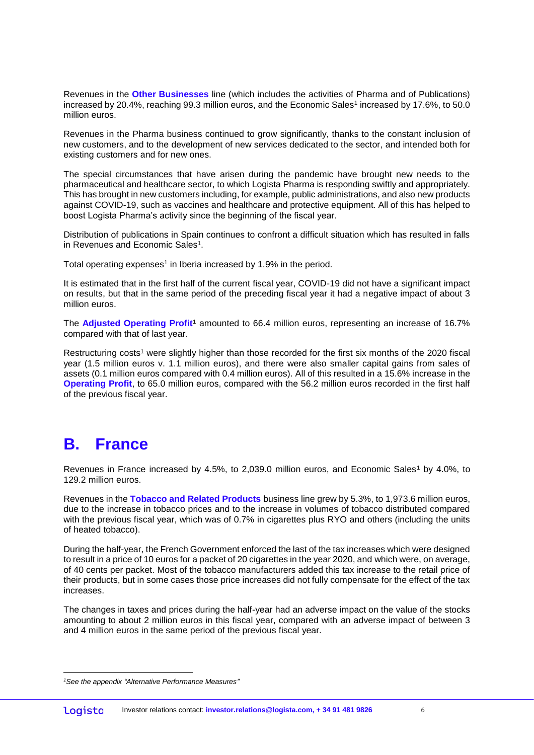Revenues in the **Other Businesses** line (which includes the activities of Pharma and of Publications) increased by 20.4%, reaching 99.3 million euros, and the Economic Sales1 increased by 17.6%, to 50.0 million euros.

Revenues in the Pharma business continued to grow significantly, thanks to the constant inclusion of new customers, and to the development of new services dedicated to the sector, and intended both for existing customers and for new ones.

The special circumstances that have arisen during the pandemic have brought new needs to the pharmaceutical and healthcare sector, to which Logista Pharma is responding swiftly and appropriately. This has brought in new customers including, for example, public administrations, and also new products against COVID-19, such as vaccines and healthcare and protective equipment. All of this has helped to boost Logista Pharma's activity since the beginning of the fiscal year.

Distribution of publications in Spain continues to confront a difficult situation which has resulted in falls in Revenues and Economic Sales<sup>1</sup>.

Total operating expenses<sup>1</sup> in Iberia increased by 1.9% in the period.

It is estimated that in the first half of the current fiscal year, COVID-19 did not have a significant impact on results, but that in the same period of the preceding fiscal year it had a negative impact of about 3 million euros.

The **Adjusted Operating Profit**<sup>1</sup> amounted to 66.4 million euros, representing an increase of 16.7% compared with that of last year.

Restructuring costs<sup>1</sup> were slightly higher than those recorded for the first six months of the 2020 fiscal year (1.5 million euros v. 1.1 million euros), and there were also smaller capital gains from sales of assets (0.1 million euros compared with 0.4 million euros). All of this resulted in a 15.6% increase in the **Operating Profit**, to 65.0 million euros, compared with the 56.2 million euros recorded in the first half of the previous fiscal year.

#### **B. France**

 $\overline{a}$ 

Revenues in France increased by 4.5%, to 2,039.0 million euros, and Economic Sales<sup>1</sup> by 4.0%, to 129.2 million euros.

Revenues in the **Tobacco and Related Products** business line grew by 5.3%, to 1,973.6 million euros, due to the increase in tobacco prices and to the increase in volumes of tobacco distributed compared with the previous fiscal year, which was of 0.7% in cigarettes plus RYO and others (including the units of heated tobacco).

During the half-year, the French Government enforced the last of the tax increases which were designed to result in a price of 10 euros for a packet of 20 cigarettes in the year 2020, and which were, on average, of 40 cents per packet. Most of the tobacco manufacturers added this tax increase to the retail price of their products, but in some cases those price increases did not fully compensate for the effect of the tax increases.

The changes in taxes and prices during the half-year had an adverse impact on the value of the stocks amounting to about 2 million euros in this fiscal year, compared with an adverse impact of between 3 and 4 million euros in the same period of the previous fiscal year.

*<sup>1</sup>See the appendix "Alternative Performance Measures"*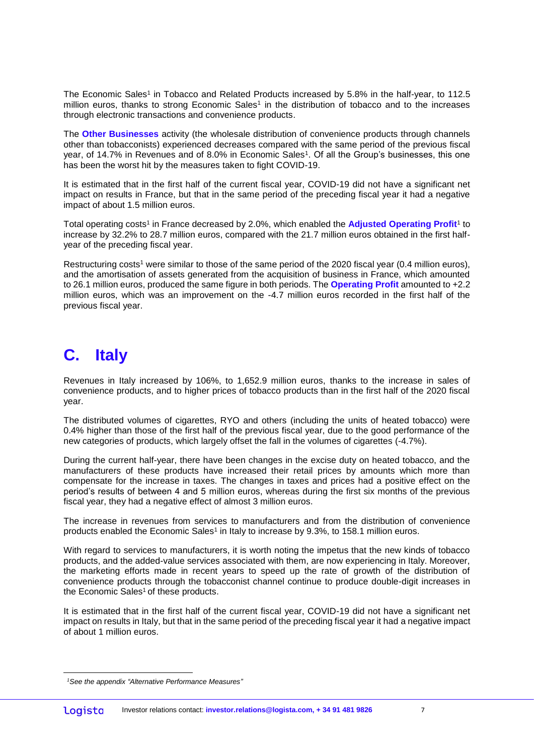The Economic Sales<sup>1</sup> in Tobacco and Related Products increased by 5.8% in the half-year, to 112.5 million euros, thanks to strong Economic Sales<sup>1</sup> in the distribution of tobacco and to the increases through electronic transactions and convenience products.

The **Other Businesses** activity (the wholesale distribution of convenience products through channels other than tobacconists) experienced decreases compared with the same period of the previous fiscal year, of 14.7% in Revenues and of 8.0% in Economic Sales<sup>1</sup>. Of all the Group's businesses, this one has been the worst hit by the measures taken to fight COVID-19.

It is estimated that in the first half of the current fiscal year, COVID-19 did not have a significant net impact on results in France, but that in the same period of the preceding fiscal year it had a negative impact of about 1.5 million euros.

Total operating costs<sup>1</sup> in France decreased by 2.0%, which enabled the **Adjusted Operating Profit**<sup>1</sup> to increase by 32.2% to 28.7 million euros, compared with the 21.7 million euros obtained in the first halfyear of the preceding fiscal year.

Restructuring costs<sup>1</sup> were similar to those of the same period of the 2020 fiscal year (0.4 million euros), and the amortisation of assets generated from the acquisition of business in France, which amounted to 26.1 million euros, produced the same figure in both periods. The **Operating Profit** amounted to +2.2 million euros, which was an improvement on the -4.7 million euros recorded in the first half of the previous fiscal year.

#### **C. Italy**

Revenues in Italy increased by 106%, to 1,652.9 million euros, thanks to the increase in sales of convenience products, and to higher prices of tobacco products than in the first half of the 2020 fiscal year.

The distributed volumes of cigarettes, RYO and others (including the units of heated tobacco) were 0.4% higher than those of the first half of the previous fiscal year, due to the good performance of the new categories of products, which largely offset the fall in the volumes of cigarettes (-4.7%).

During the current half-year, there have been changes in the excise duty on heated tobacco, and the manufacturers of these products have increased their retail prices by amounts which more than compensate for the increase in taxes. The changes in taxes and prices had a positive effect on the period's results of between 4 and 5 million euros, whereas during the first six months of the previous fiscal year, they had a negative effect of almost 3 million euros.

The increase in revenues from services to manufacturers and from the distribution of convenience products enabled the Economic Sales<sup>1</sup> in Italy to increase by 9.3%, to 158.1 million euros.

With regard to services to manufacturers, it is worth noting the impetus that the new kinds of tobacco products, and the added-value services associated with them, are now experiencing in Italy. Moreover, the marketing efforts made in recent years to speed up the rate of growth of the distribution of convenience products through the tobacconist channel continue to produce double-digit increases in the Economic Sales<sup>1</sup> of these products.

It is estimated that in the first half of the current fiscal year, COVID-19 did not have a significant net impact on results in Italy, but that in the same period of the preceding fiscal year it had a negative impact of about 1 million euros.

 $\overline{a}$ *<sup>1</sup>See the appendix "Alternative Performance Measures"*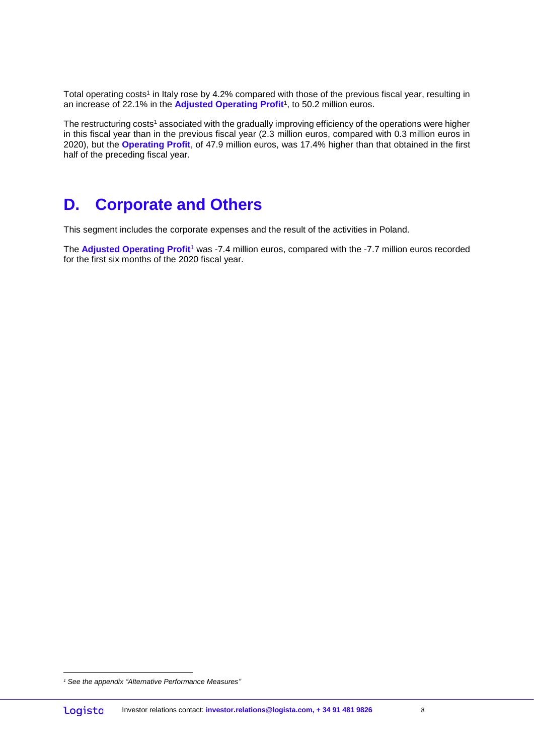Total operating costs<sup>1</sup> in Italy rose by 4.2% compared with those of the previous fiscal year, resulting in an increase of 22.1% in the **Adjusted Operating Profit**<sup>1</sup> , to 50.2 million euros.

The restructuring costs<sup>1</sup> associated with the gradually improving efficiency of the operations were higher in this fiscal year than in the previous fiscal year (2.3 million euros, compared with 0.3 million euros in 2020), but the **Operating Profit**, of 47.9 million euros, was 17.4% higher than that obtained in the first half of the preceding fiscal year.

### **D. Corporate and Others**

This segment includes the corporate expenses and the result of the activities in Poland.

The **Adjusted Operating Profit**<sup>1</sup> was -7.4 million euros, compared with the -7.7 million euros recorded for the first six months of the 2020 fiscal year.

*<sup>1</sup> See the appendix "Alternative Performance Measures"*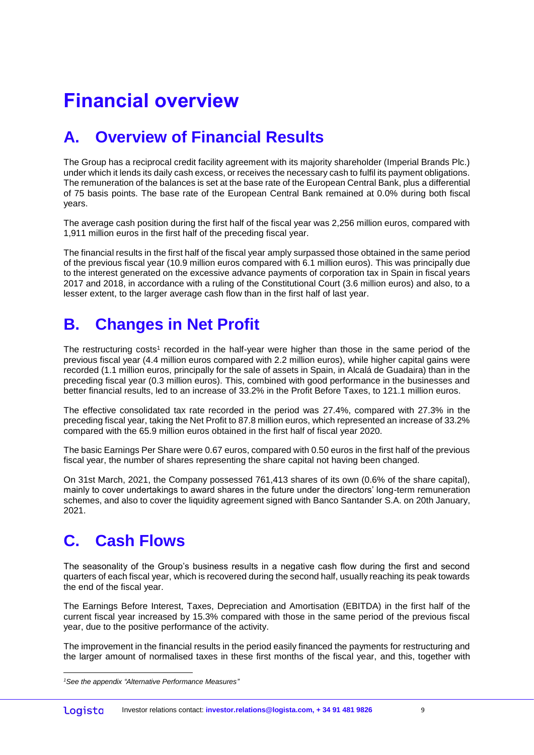# **Financial overview**

## **A. Overview of Financial Results**

The Group has a reciprocal credit facility agreement with its majority shareholder (Imperial Brands Plc.) under which it lends its daily cash excess, or receives the necessary cash to fulfil its payment obligations. The remuneration of the balances is set at the base rate of the European Central Bank, plus a differential of 75 basis points. The base rate of the European Central Bank remained at 0.0% during both fiscal years.

The average cash position during the first half of the fiscal year was 2,256 million euros, compared with 1,911 million euros in the first half of the preceding fiscal year.

The financial results in the first half of the fiscal year amply surpassed those obtained in the same period of the previous fiscal year (10.9 million euros compared with 6.1 million euros). This was principally due to the interest generated on the excessive advance payments of corporation tax in Spain in fiscal years 2017 and 2018, in accordance with a ruling of the Constitutional Court (3.6 million euros) and also, to a lesser extent, to the larger average cash flow than in the first half of last year.

### **B. Changes in Net Profit**

The restructuring costs<sup>1</sup> recorded in the half-year were higher than those in the same period of the previous fiscal year (4.4 million euros compared with 2.2 million euros), while higher capital gains were recorded (1.1 million euros, principally for the sale of assets in Spain, in Alcalá de Guadaira) than in the preceding fiscal year (0.3 million euros). This, combined with good performance in the businesses and better financial results, led to an increase of 33.2% in the Profit Before Taxes, to 121.1 million euros.

The effective consolidated tax rate recorded in the period was 27.4%, compared with 27.3% in the preceding fiscal year, taking the Net Profit to 87.8 million euros, which represented an increase of 33.2% compared with the 65.9 million euros obtained in the first half of fiscal year 2020.

The basic Earnings Per Share were 0.67 euros, compared with 0.50 euros in the first half of the previous fiscal year, the number of shares representing the share capital not having been changed.

On 31st March, 2021, the Company possessed 761,413 shares of its own (0.6% of the share capital), mainly to cover undertakings to award shares in the future under the directors' long-term remuneration schemes, and also to cover the liquidity agreement signed with Banco Santander S.A. on 20th January, 2021.

### **C. Cash Flows**

 $\overline{a}$ 

The seasonality of the Group's business results in a negative cash flow during the first and second quarters of each fiscal year, which is recovered during the second half, usually reaching its peak towards the end of the fiscal year.

The Earnings Before Interest, Taxes, Depreciation and Amortisation (EBITDA) in the first half of the current fiscal year increased by 15.3% compared with those in the same period of the previous fiscal year, due to the positive performance of the activity.

The improvement in the financial results in the period easily financed the payments for restructuring and the larger amount of normalised taxes in these first months of the fiscal year, and this, together with

*<sup>1</sup>See the appendix "Alternative Performance Measures"*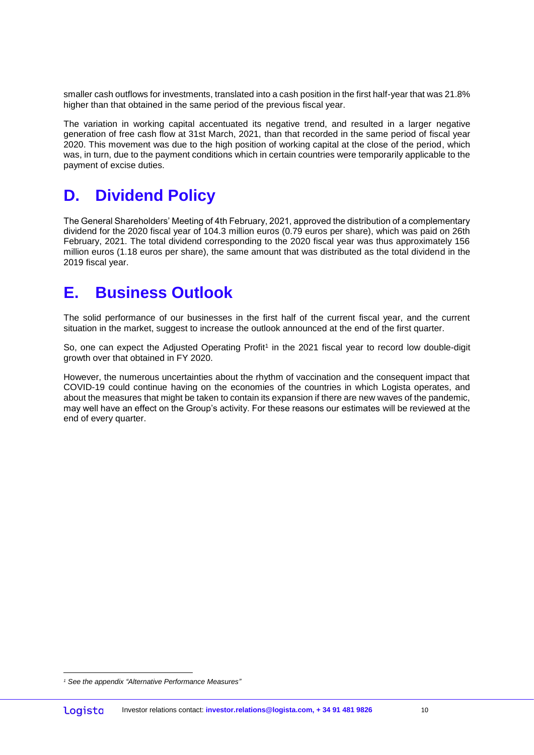smaller cash outflows for investments, translated into a cash position in the first half-year that was 21.8% higher than that obtained in the same period of the previous fiscal year.

The variation in working capital accentuated its negative trend, and resulted in a larger negative generation of free cash flow at 31st March, 2021, than that recorded in the same period of fiscal year 2020. This movement was due to the high position of working capital at the close of the period, which was, in turn, due to the payment conditions which in certain countries were temporarily applicable to the payment of excise duties.

### **D. Dividend Policy**

The General Shareholders' Meeting of 4th February, 2021, approved the distribution of a complementary dividend for the 2020 fiscal year of 104.3 million euros (0.79 euros per share), which was paid on 26th February, 2021. The total dividend corresponding to the 2020 fiscal year was thus approximately 156 million euros (1.18 euros per share), the same amount that was distributed as the total dividend in the 2019 fiscal year.

#### **E. Business Outlook**

The solid performance of our businesses in the first half of the current fiscal year, and the current situation in the market, suggest to increase the outlook announced at the end of the first quarter.

So, one can expect the Adjusted Operating Profit<sup>1</sup> in the 2021 fiscal year to record low double-digit growth over that obtained in FY 2020.

However, the numerous uncertainties about the rhythm of vaccination and the consequent impact that COVID-19 could continue having on the economies of the countries in which Logista operates, and about the measures that might be taken to contain its expansion if there are new waves of the pandemic, may well have an effect on the Group's activity. For these reasons our estimates will be reviewed at the end of every quarter.

 $\overline{a}$ *<sup>1</sup> See the appendix "Alternative Performance Measures"*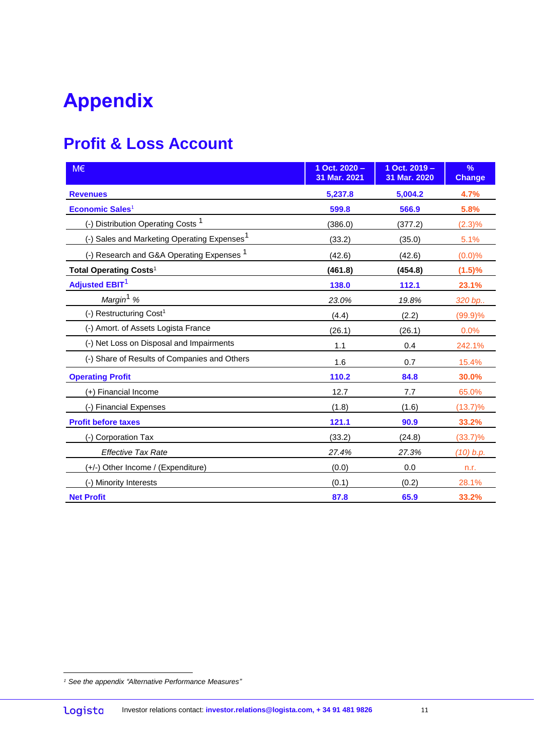# **Appendix**

## **Profit & Loss Account**

| M€                                                      | 1 Oct. $2020 -$<br>31 Mar. 2021 | 1 Oct. 2019 -<br>31 Mar. 2020 | %<br><b>Change</b> |
|---------------------------------------------------------|---------------------------------|-------------------------------|--------------------|
| <b>Revenues</b>                                         | 5,237.8                         | 5,004.2                       | 4.7%               |
| <b>Economic Sales1</b>                                  | 599.8                           | 566.9                         | 5.8%               |
| (-) Distribution Operating Costs <sup>1</sup>           | (386.0)                         | (377.2)                       | (2.3)%             |
| (-) Sales and Marketing Operating Expenses <sup>1</sup> | (33.2)                          | (35.0)                        | 5.1%               |
| (-) Research and G&A Operating Expenses <sup>1</sup>    | (42.6)                          | (42.6)                        | (0.0)%             |
| Total Operating Costs <sup>1</sup>                      | (461.8)                         | (454.8)                       | (1.5)%             |
| <b>Adjusted EBIT<sup>1</sup></b>                        | 138.0                           | 112.1                         | 23.1%              |
| Margin <sup>1</sup> %                                   | 23.0%                           | 19.8%                         | 320 bp             |
| (-) Restructuring Cost <sup>1</sup>                     | (4.4)                           | (2.2)                         | (99.9)%            |
| (-) Amort. of Assets Logista France                     | (26.1)                          | (26.1)                        | 0.0%               |
| (-) Net Loss on Disposal and Impairments                | 1.1                             | 0.4                           | 242.1%             |
| (-) Share of Results of Companies and Others            | 1.6                             | 0.7                           | 15.4%              |
| <b>Operating Profit</b>                                 | 110.2                           | 84.8                          | 30.0%              |
| (+) Financial Income                                    | 12.7                            | 7.7                           | 65.0%              |
| (-) Financial Expenses                                  | (1.8)                           | (1.6)                         | $(13.7)\%$         |
| <b>Profit before taxes</b>                              | 121.1                           | 90.9                          | 33.2%              |
| (-) Corporation Tax                                     | (33.2)                          | (24.8)                        | $(33.7)\%$         |
| <b>Effective Tax Rate</b>                               | 27.4%                           | 27.3%                         | (10) b.p.          |
| (+/-) Other Income / (Expenditure)                      | (0.0)                           | 0.0                           | n.r.               |
| (-) Minority Interests                                  | (0.1)                           | (0.2)                         | 28.1%              |
| <b>Net Profit</b>                                       | 87.8                            | 65.9                          | 33.2%              |

 $\overline{a}$ *<sup>1</sup> See the appendix "Alternative Performance Measures"*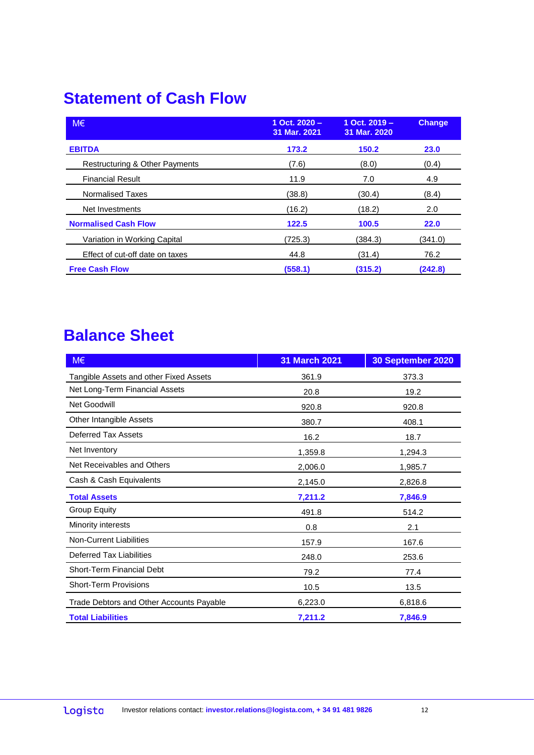### **Statement of Cash Flow**

| $M \in$                         | 1 Oct. $2020 -$<br>31 Mar. 2021 | 1 Oct. 2019 -<br>31 Mar. 2020 | <b>Change</b> |
|---------------------------------|---------------------------------|-------------------------------|---------------|
| <b>EBITDA</b>                   | 173.2                           | 150.2                         | 23.0          |
| Restructuring & Other Payments  | (7.6)                           | (8.0)                         | (0.4)         |
| <b>Financial Result</b>         | 11.9                            | 7.0                           | 4.9           |
| <b>Normalised Taxes</b>         | (38.8)                          | (30.4)                        | (8.4)         |
| Net Investments                 | (16.2)                          | (18.2)                        | 2.0           |
| <b>Normalised Cash Flow</b>     | 122.5                           | 100.5                         | 22.0          |
| Variation in Working Capital    | (725.3)                         | (384.3)                       | (341.0)       |
| Effect of cut-off date on taxes | 44.8                            | (31.4)                        | 76.2          |
| <b>Free Cash Flow</b>           | (558.1)                         | (315.2)                       | (242.8)       |

## **Balance Sheet**

| M€                                       | 31 March 2021 | 30 September 2020 |
|------------------------------------------|---------------|-------------------|
| Tangible Assets and other Fixed Assets   | 361.9         | 373.3             |
| Net Long-Term Financial Assets           | 20.8          | 19.2              |
| Net Goodwill                             | 920.8         | 920.8             |
| Other Intangible Assets                  | 380.7         | 408.1             |
| Deferred Tax Assets                      | 16.2          | 18.7              |
| Net Inventory                            | 1,359.8       | 1,294.3           |
| Net Receivables and Others               | 2,006.0       | 1,985.7           |
| Cash & Cash Equivalents                  | 2,145.0       | 2,826.8           |
| <b>Total Assets</b>                      | 7,211.2       | 7,846.9           |
| <b>Group Equity</b>                      | 491.8         | 514.2             |
| Minority interests                       | 0.8           | 2.1               |
| <b>Non-Current Liabilities</b>           | 157.9         | 167.6             |
| Deferred Tax Liabilities                 | 248.0         | 253.6             |
| Short-Term Financial Debt                | 79.2          | 77.4              |
| <b>Short-Term Provisions</b>             | 10.5          | 13.5              |
| Trade Debtors and Other Accounts Payable | 6,223.0       | 6,818.6           |
| <b>Total Liabilities</b>                 | 7,211.2       | 7,846.9           |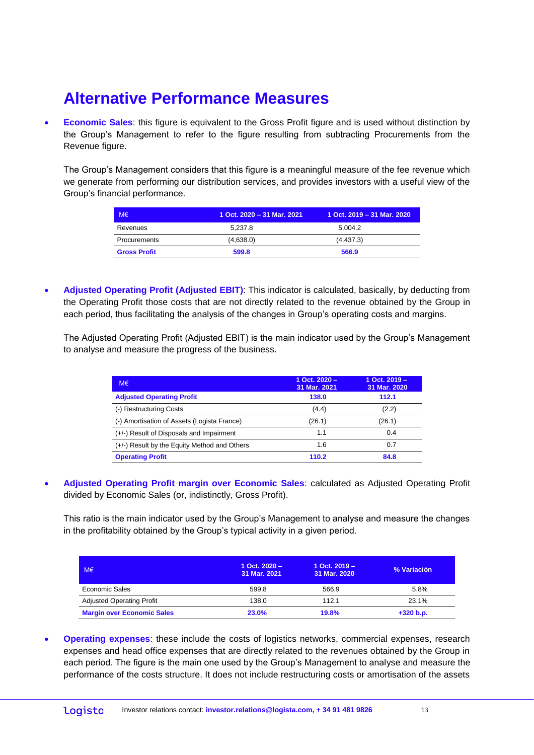### **Alternative Performance Measures**

 **Economic Sales**: this figure is equivalent to the Gross Profit figure and is used without distinction by the Group's Management to refer to the figure resulting from subtracting Procurements from the Revenue figure.

The Group's Management considers that this figure is a meaningful measure of the fee revenue which we generate from performing our distribution services, and provides investors with a useful view of the Group's financial performance.

| M€                  | 1 Oct. 2020 - 31 Mar. 2021 | 1 Oct. 2019 - 31 Mar. 2020 |
|---------------------|----------------------------|----------------------------|
| Revenues            | 5.237.8                    | 5.004.2                    |
| Procurements        | (4,638.0)                  | (4, 437.3)                 |
| <b>Gross Profit</b> | 599.8                      | 566.9                      |

 **Adjusted Operating Profit (Adjusted EBIT)**: This indicator is calculated, basically, by deducting from the Operating Profit those costs that are not directly related to the revenue obtained by the Group in each period, thus facilitating the analysis of the changes in Group's operating costs and margins.

The Adjusted Operating Profit (Adjusted EBIT) is the main indicator used by the Group's Management to analyse and measure the progress of the business.

| $M \in$                                      | 1 Oct. $2020 -$<br>31 Mar. 2021 | 1 Oct. 2019 –<br>31 Mar. 2020 |
|----------------------------------------------|---------------------------------|-------------------------------|
| <b>Adjusted Operating Profit</b>             | 138.0                           | 112.1                         |
| (-) Restructuring Costs                      | (4.4)                           | (2.2)                         |
| (-) Amortisation of Assets (Logista France)  | (26.1)                          | (26.1)                        |
| (+/-) Result of Disposals and Impairment     | 1.1                             | 0.4                           |
| (+/-) Result by the Equity Method and Others | 1.6                             | 0.7                           |
| <b>Operating Profit</b>                      | 110.2                           | 84.8                          |

 **Adjusted Operating Profit margin over Economic Sales**: calculated as Adjusted Operating Profit divided by Economic Sales (or, indistinctly, Gross Profit).

This ratio is the main indicator used by the Group's Management to analyse and measure the changes in the profitability obtained by the Group's typical activity in a given period.

| M€                                | 1 Oct. $2020 -$<br>31 Mar. 2021 | $1$ Oct. $2019 -$<br>31 Mar. 2020 | % Variación |
|-----------------------------------|---------------------------------|-----------------------------------|-------------|
| Economic Sales                    | 599.8                           | 566.9                             | 5.8%        |
| <b>Adjusted Operating Profit</b>  | 138.0                           | 112.1                             | 23.1%       |
| <b>Margin over Economic Sales</b> | 23.0%                           | 19.8%                             | $+320 b.p.$ |

 **Operating expenses**: these include the costs of logistics networks, commercial expenses, research expenses and head office expenses that are directly related to the revenues obtained by the Group in each period. The figure is the main one used by the Group's Management to analyse and measure the performance of the costs structure. It does not include restructuring costs or amortisation of the assets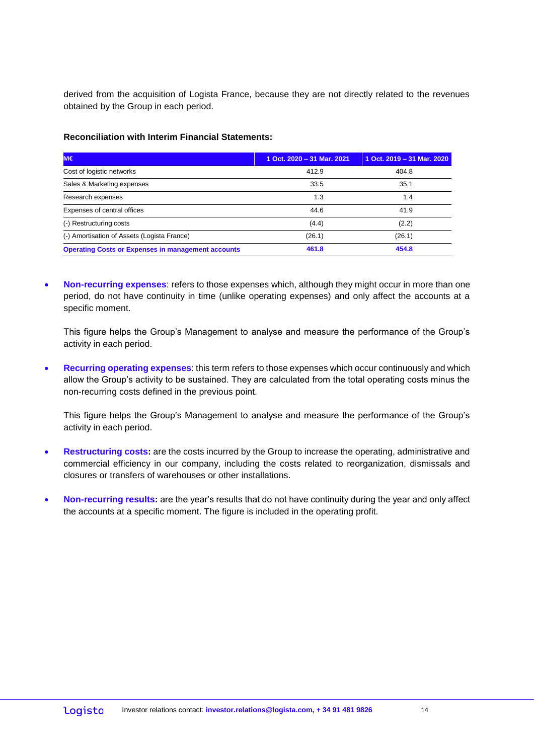derived from the acquisition of Logista France, because they are not directly related to the revenues obtained by the Group in each period.

#### **Reconciliation with Interim Financial Statements:**

| IM€                                                       | 1 Oct. 2020 - 31 Mar. 2021 | 1 Oct. 2019 - 31 Mar. 2020 |
|-----------------------------------------------------------|----------------------------|----------------------------|
| Cost of logistic networks                                 | 412.9                      | 404.8                      |
| Sales & Marketing expenses                                | 33.5                       | 35.1                       |
| Research expenses                                         | 1.3                        | 1.4                        |
| Expenses of central offices                               | 44.6                       | 41.9                       |
| (-) Restructuring costs                                   | (4.4)                      | (2.2)                      |
| (-) Amortisation of Assets (Logista France)               | (26.1)                     | (26.1)                     |
| <b>Operating Costs or Expenses in management accounts</b> | 461.8                      | 454.8                      |

 **Non-recurring expenses**: refers to those expenses which, although they might occur in more than one period, do not have continuity in time (unlike operating expenses) and only affect the accounts at a specific moment.

This figure helps the Group's Management to analyse and measure the performance of the Group's activity in each period.

 **Recurring operating expenses**: this term refers to those expenses which occur continuously and which allow the Group's activity to be sustained. They are calculated from the total operating costs minus the non-recurring costs defined in the previous point.

This figure helps the Group's Management to analyse and measure the performance of the Group's activity in each period.

- **Restructuring costs:** are the costs incurred by the Group to increase the operating, administrative and commercial efficiency in our company, including the costs related to reorganization, dismissals and closures or transfers of warehouses or other installations.
- **Non-recurring results:** are the year's results that do not have continuity during the year and only affect the accounts at a specific moment. The figure is included in the operating profit.